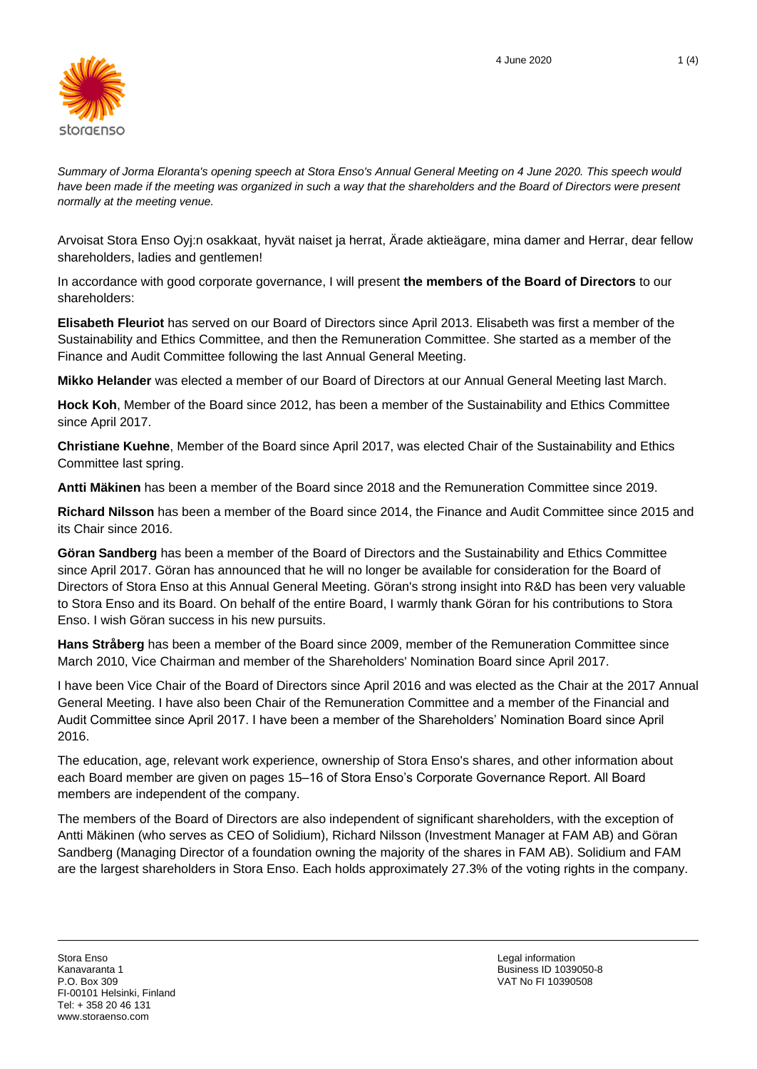

*Summary of Jorma Eloranta's opening speech at Stora Enso's Annual General Meeting on 4 June 2020. This speech would*  have been made if the meeting was organized in such a way that the shareholders and the Board of Directors were present *normally at the meeting venue.*

Arvoisat Stora Enso Oyj:n osakkaat, hyvät naiset ja herrat, Ärade aktieägare, mina damer and Herrar, dear fellow shareholders, ladies and gentlemen!

In accordance with good corporate governance, I will present **the members of the Board of Directors** to our shareholders:

**Elisabeth Fleuriot** has served on our Board of Directors since April 2013. Elisabeth was first a member of the Sustainability and Ethics Committee, and then the Remuneration Committee. She started as a member of the Finance and Audit Committee following the last Annual General Meeting.

**Mikko Helander** was elected a member of our Board of Directors at our Annual General Meeting last March.

**Hock Koh**, Member of the Board since 2012, has been a member of the Sustainability and Ethics Committee since April 2017.

**Christiane Kuehne**, Member of the Board since April 2017, was elected Chair of the Sustainability and Ethics Committee last spring.

**Antti Mäkinen** has been a member of the Board since 2018 and the Remuneration Committee since 2019.

**Richard Nilsson** has been a member of the Board since 2014, the Finance and Audit Committee since 2015 and its Chair since 2016.

**Göran Sandberg** has been a member of the Board of Directors and the Sustainability and Ethics Committee since April 2017. Göran has announced that he will no longer be available for consideration for the Board of Directors of Stora Enso at this Annual General Meeting. Göran's strong insight into R&D has been very valuable to Stora Enso and its Board. On behalf of the entire Board, I warmly thank Göran for his contributions to Stora Enso. I wish Göran success in his new pursuits.

**Hans Stråberg** has been a member of the Board since 2009, member of the Remuneration Committee since March 2010, Vice Chairman and member of the Shareholders' Nomination Board since April 2017.

I have been Vice Chair of the Board of Directors since April 2016 and was elected as the Chair at the 2017 Annual General Meeting. I have also been Chair of the Remuneration Committee and a member of the Financial and Audit Committee since April 2017. I have been a member of the Shareholders' Nomination Board since April 2016.

The education, age, relevant work experience, ownership of Stora Enso's shares, and other information about each Board member are given on pages 15–16 of Stora Enso's Corporate Governance Report. All Board members are independent of the company.

The members of the Board of Directors are also independent of significant shareholders, with the exception of Antti Mäkinen (who serves as CEO of Solidium), Richard Nilsson (Investment Manager at FAM AB) and Göran Sandberg (Managing Director of a foundation owning the majority of the shares in FAM AB). Solidium and FAM are the largest shareholders in Stora Enso. Each holds approximately 27.3% of the voting rights in the company.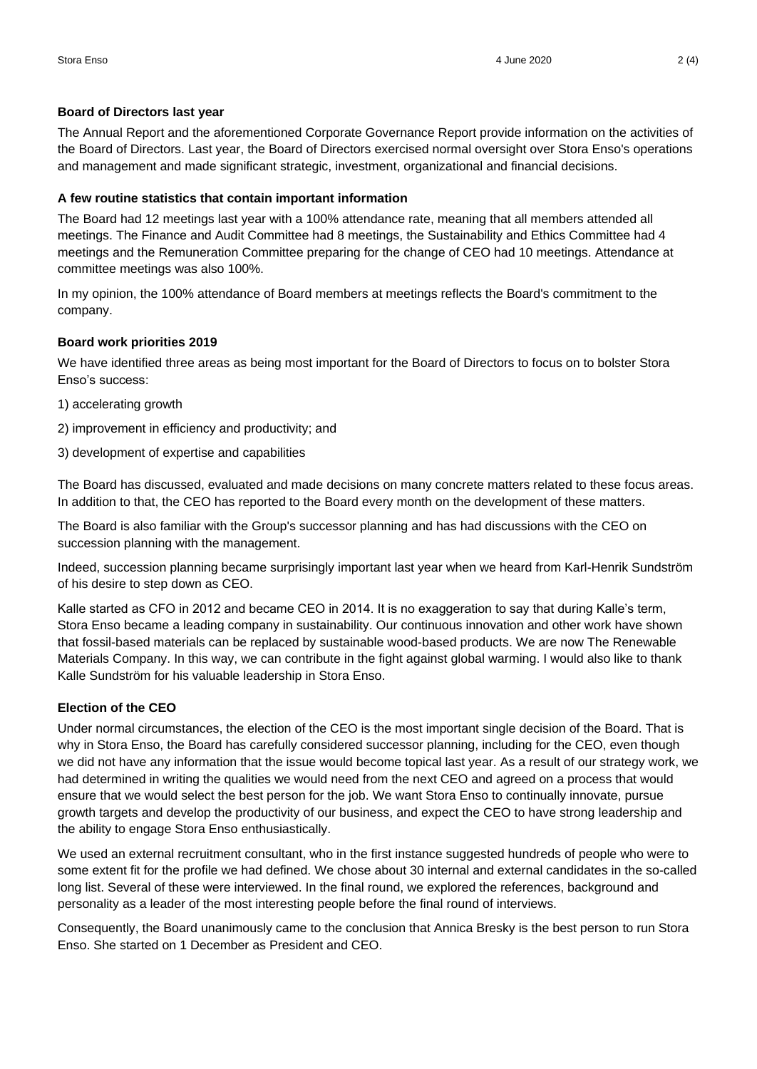### **Board of Directors last year**

The Annual Report and the aforementioned Corporate Governance Report provide information on the activities of the Board of Directors. Last year, the Board of Directors exercised normal oversight over Stora Enso's operations and management and made significant strategic, investment, organizational and financial decisions.

# **A few routine statistics that contain important information**

The Board had 12 meetings last year with a 100% attendance rate, meaning that all members attended all meetings. The Finance and Audit Committee had 8 meetings, the Sustainability and Ethics Committee had 4 meetings and the Remuneration Committee preparing for the change of CEO had 10 meetings. Attendance at committee meetings was also 100%.

In my opinion, the 100% attendance of Board members at meetings reflects the Board's commitment to the company.

### **Board work priorities 2019**

We have identified three areas as being most important for the Board of Directors to focus on to bolster Stora Enso's success:

- 1) accelerating growth
- 2) improvement in efficiency and productivity; and
- 3) development of expertise and capabilities

The Board has discussed, evaluated and made decisions on many concrete matters related to these focus areas. In addition to that, the CEO has reported to the Board every month on the development of these matters.

The Board is also familiar with the Group's successor planning and has had discussions with the CEO on succession planning with the management.

Indeed, succession planning became surprisingly important last year when we heard from Karl-Henrik Sundström of his desire to step down as CEO.

Kalle started as CFO in 2012 and became CEO in 2014. It is no exaggeration to say that during Kalle's term, Stora Enso became a leading company in sustainability. Our continuous innovation and other work have shown that fossil-based materials can be replaced by sustainable wood-based products. We are now The Renewable Materials Company. In this way, we can contribute in the fight against global warming. I would also like to thank Kalle Sundström for his valuable leadership in Stora Enso.

# **Election of the CEO**

Under normal circumstances, the election of the CEO is the most important single decision of the Board. That is why in Stora Enso, the Board has carefully considered successor planning, including for the CEO, even though we did not have any information that the issue would become topical last year. As a result of our strategy work, we had determined in writing the qualities we would need from the next CEO and agreed on a process that would ensure that we would select the best person for the job. We want Stora Enso to continually innovate, pursue growth targets and develop the productivity of our business, and expect the CEO to have strong leadership and the ability to engage Stora Enso enthusiastically.

We used an external recruitment consultant, who in the first instance suggested hundreds of people who were to some extent fit for the profile we had defined. We chose about 30 internal and external candidates in the so-called long list. Several of these were interviewed. In the final round, we explored the references, background and personality as a leader of the most interesting people before the final round of interviews.

Consequently, the Board unanimously came to the conclusion that Annica Bresky is the best person to run Stora Enso. She started on 1 December as President and CEO.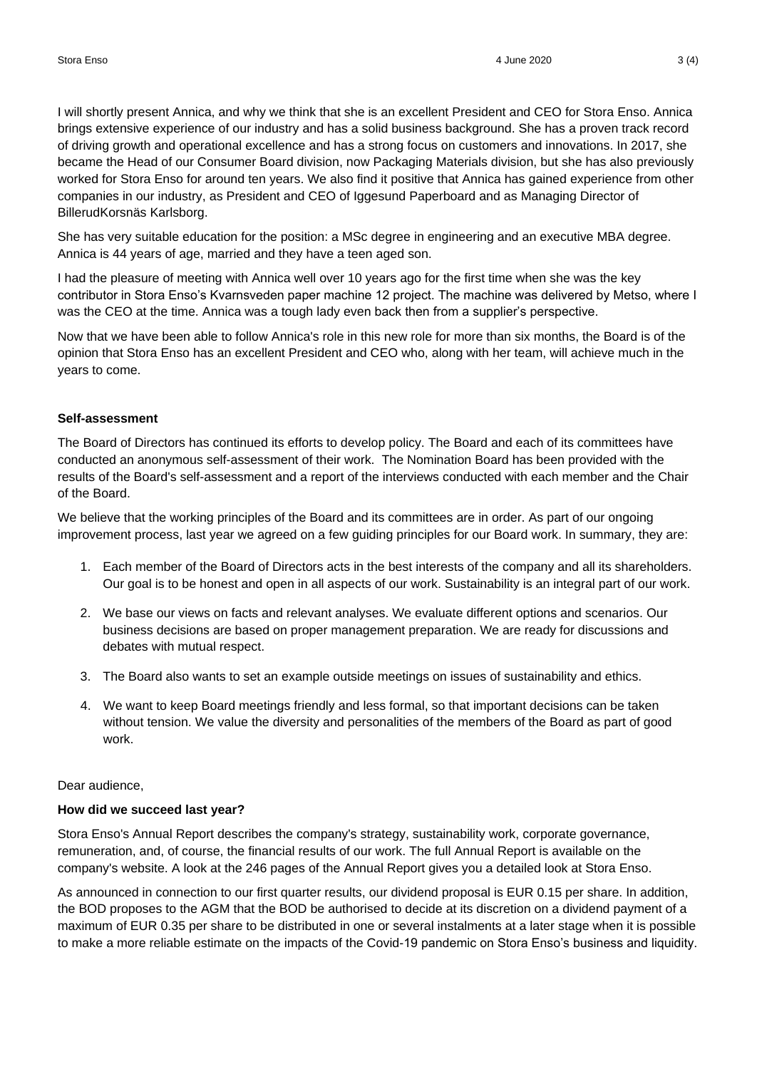I will shortly present Annica, and why we think that she is an excellent President and CEO for Stora Enso. Annica brings extensive experience of our industry and has a solid business background. She has a proven track record of driving growth and operational excellence and has a strong focus on customers and innovations. In 2017, she became the Head of our Consumer Board division, now Packaging Materials division, but she has also previously worked for Stora Enso for around ten years. We also find it positive that Annica has gained experience from other companies in our industry, as President and CEO of Iggesund Paperboard and as Managing Director of BillerudKorsnäs Karlsborg.

She has very suitable education for the position: a MSc degree in engineering and an executive MBA degree. Annica is 44 years of age, married and they have a teen aged son.

I had the pleasure of meeting with Annica well over 10 years ago for the first time when she was the key contributor in Stora Enso's Kvarnsveden paper machine 12 project. The machine was delivered by Metso, where I was the CEO at the time. Annica was a tough lady even back then from a supplier's perspective.

Now that we have been able to follow Annica's role in this new role for more than six months, the Board is of the opinion that Stora Enso has an excellent President and CEO who, along with her team, will achieve much in the years to come.

#### **Self-assessment**

The Board of Directors has continued its efforts to develop policy. The Board and each of its committees have conducted an anonymous self-assessment of their work. The Nomination Board has been provided with the results of the Board's self-assessment and a report of the interviews conducted with each member and the Chair of the Board.

We believe that the working principles of the Board and its committees are in order. As part of our ongoing improvement process, last year we agreed on a few guiding principles for our Board work. In summary, they are:

- 1. Each member of the Board of Directors acts in the best interests of the company and all its shareholders. Our goal is to be honest and open in all aspects of our work. Sustainability is an integral part of our work.
- 2. We base our views on facts and relevant analyses. We evaluate different options and scenarios. Our business decisions are based on proper management preparation. We are ready for discussions and debates with mutual respect.
- 3. The Board also wants to set an example outside meetings on issues of sustainability and ethics.
- 4. We want to keep Board meetings friendly and less formal, so that important decisions can be taken without tension. We value the diversity and personalities of the members of the Board as part of good work.

Dear audience,

#### **How did we succeed last year?**

Stora Enso's Annual Report describes the company's strategy, sustainability work, corporate governance, remuneration, and, of course, the financial results of our work. The full Annual Report is available on the company's website. A look at the 246 pages of the Annual Report gives you a detailed look at Stora Enso.

As announced in connection to our first quarter results, our dividend proposal is EUR 0.15 per share. In addition, the BOD proposes to the AGM that the BOD be authorised to decide at its discretion on a dividend payment of a maximum of EUR 0.35 per share to be distributed in one or several instalments at a later stage when it is possible to make a more reliable estimate on the impacts of the Covid-19 pandemic on Stora Enso's business and liquidity.